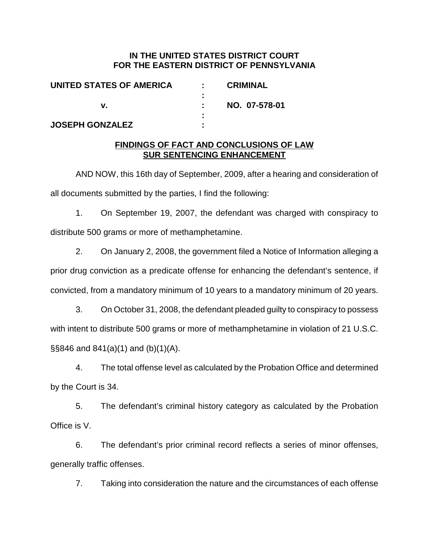## **IN THE UNITED STATES DISTRICT COURT FOR THE EASTERN DISTRICT OF PENNSYLVANIA**

| UNITED STATES OF AMERICA | <b>CRIMINAL</b> |
|--------------------------|-----------------|
|                          |                 |
|                          | NO. 07-578-01   |
|                          |                 |
| <b>JOSEPH GONZALEZ</b>   |                 |

## **FINDINGS OF FACT AND CONCLUSIONS OF LAW SUR SENTENCING ENHANCEMENT**

AND NOW, this 16th day of September, 2009, after a hearing and consideration of all documents submitted by the parties, I find the following:

1. On September 19, 2007, the defendant was charged with conspiracy to distribute 500 grams or more of methamphetamine.

2. On January 2, 2008, the government filed a Notice of Information alleging a prior drug conviction as a predicate offense for enhancing the defendant's sentence, if convicted, from a mandatory minimum of 10 years to a mandatory minimum of 20 years.

3. On October 31, 2008, the defendant pleaded guilty to conspiracy to possess with intent to distribute 500 grams or more of methamphetamine in violation of 21 U.S.C.  $\S$ §846 and 841(a)(1) and (b)(1)(A).

4. The total offense level as calculated by the Probation Office and determined by the Court is 34.

5. The defendant's criminal history category as calculated by the Probation Office is V.

6. The defendant's prior criminal record reflects a series of minor offenses, generally traffic offenses.

7. Taking into consideration the nature and the circumstances of each offense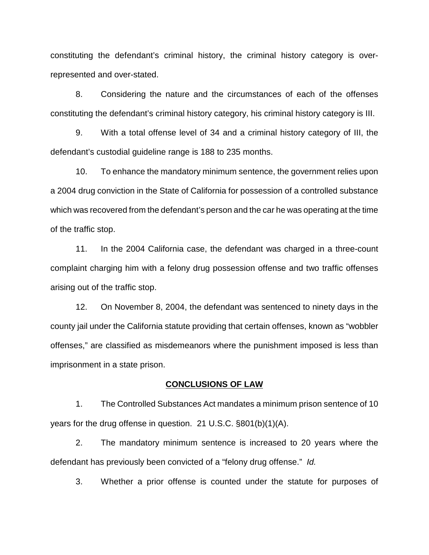constituting the defendant's criminal history, the criminal history category is overrepresented and over-stated.

8. Considering the nature and the circumstances of each of the offenses constituting the defendant's criminal history category, his criminal history category is III.

9. With a total offense level of 34 and a criminal history category of III, the defendant's custodial guideline range is 188 to 235 months.

10. To enhance the mandatory minimum sentence, the government relies upon a 2004 drug conviction in the State of California for possession of a controlled substance which was recovered from the defendant's person and the car he was operating at the time of the traffic stop.

11. In the 2004 California case, the defendant was charged in a three-count complaint charging him with a felony drug possession offense and two traffic offenses arising out of the traffic stop.

12. On November 8, 2004, the defendant was sentenced to ninety days in the county jail under the California statute providing that certain offenses, known as "wobbler offenses," are classified as misdemeanors where the punishment imposed is less than imprisonment in a state prison.

## **CONCLUSIONS OF LAW**

1. The Controlled Substances Act mandates a minimum prison sentence of 10 years for the drug offense in question. 21 U.S.C. §801(b)(1)(A).

2. The mandatory minimum sentence is increased to 20 years where the defendant has previously been convicted of a "felony drug offense." Id.

3. Whether a prior offense is counted under the statute for purposes of